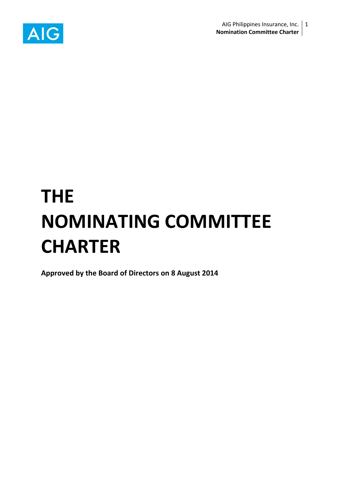

# **THE NOMINATING COMMITTEE CHARTER**

**Approved by the Board of Directors on 8 August 2014**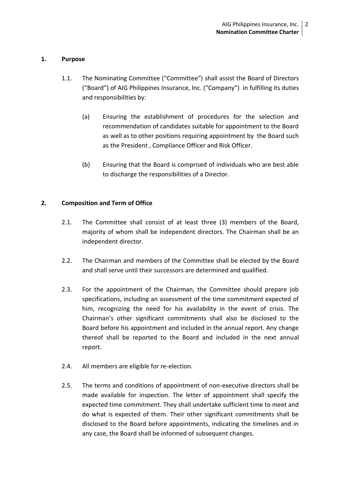### **1. Purpose**

- 1.1. The Nominating Committee ("Committee") shall assist the Board of Directors ("Board") of AIG Philippines Insurance, Inc. ("Company") in fulfilling its duties and responsibilities by:
	- (a) Ensuring the establishment of procedures for the selection and recommendation of candidates suitable for appointment to the Board as well as to other positions requiring appointment by the Board such as the President , Compliance Officer and Risk Officer.
	- (b) Ensuring that the Board is comprised of individuals who are best able to discharge the responsibilities of a Director.

## **2. Composition and Term of Office**

- 2.1. The Committee shall consist of at least three (3) members of the Board, majority of whom shall be independent directors. The Chairman shall be an independent director.
- 2.2. The Chairman and members of the Committee shall be elected by the Board and shall serve until their successors are determined and qualified.
- 2.3. For the appointment of the Chairman, the Committee should prepare job specifications, including an assessment of the time commitment expected of him, recognizing the need for his availability in the event of crisis. The Chairman's other significant commitments shall also be disclosed to the Board before his appointment and included in the annual report. Any change thereof shall be reported to the Board and included in the next annual report.
- 2.4. All members are eligible for re-election.
- 2.5. The terms and conditions of appointment of non-executive directors shall be made available for inspection. The letter of appointment shall specify the expected time commitment. They shall undertake sufficient time to meet and do what is expected of them. Their other significant commitments shall be disclosed to the Board before appointments, indicating the timelines and in any case, the Board shall be informed of subsequent changes.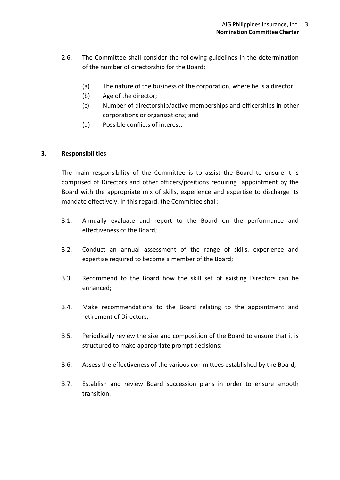- 2.6. The Committee shall consider the following guidelines in the determination of the number of directorship for the Board:
	- (a) The nature of the business of the corporation, where he is a director;
	- (b) Age of the director;
	- (c) Number of directorship/active memberships and officerships in other corporations or organizations; and
	- (d) Possible conflicts of interest.

#### **3. Responsibilities**

The main responsibility of the Committee is to assist the Board to ensure it is comprised of Directors and other officers/positions requiring appointment by the Board with the appropriate mix of skills, experience and expertise to discharge its mandate effectively. In this regard, the Committee shall:

- 3.1. Annually evaluate and report to the Board on the performance and effectiveness of the Board;
- 3.2. Conduct an annual assessment of the range of skills, experience and expertise required to become a member of the Board;
- 3.3. Recommend to the Board how the skill set of existing Directors can be enhanced;
- 3.4. Make recommendations to the Board relating to the appointment and retirement of Directors;
- 3.5. Periodically review the size and composition of the Board to ensure that it is structured to make appropriate prompt decisions;
- 3.6. Assess the effectiveness of the various committees established by the Board;
- 3.7. Establish and review Board succession plans in order to ensure smooth transition.